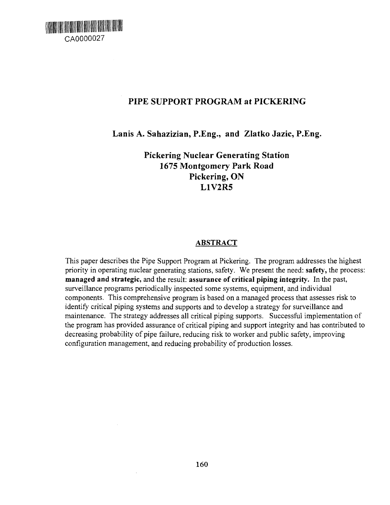

# PIPE SUPPORT PROGRAM at PICKERING

Lanis A. Sahazizian, P.Eng., and Zlatko Jazic, P.Eng.

Pickering Nuclear Generating Station 1675 Montgomery Park Road Pickering, ON L1V2R5

#### **ABSTRACT**

This paper describes the Pipe Support Program at Pickering. The program addresses the highest priority in operating nuclear generating stations, safety. We present the need: **safety,** the process: **managed and strategic,** and the result: **assurance of critical piping integrity.** In the past, surveillance programs periodically inspected some systems, equipment, and individual components. This comprehensive program is based on a managed process that assesses risk to identify critical piping systems and supports and to develop a strategy for surveillance and maintenance. The strategy addresses all critical piping supports. Successful implementation of the program has provided assurance of critical piping and support integrity and has contributed to decreasing probability of pipe failure, reducing risk to worker and public safety, improving configuration management, and reducing probability of production losses.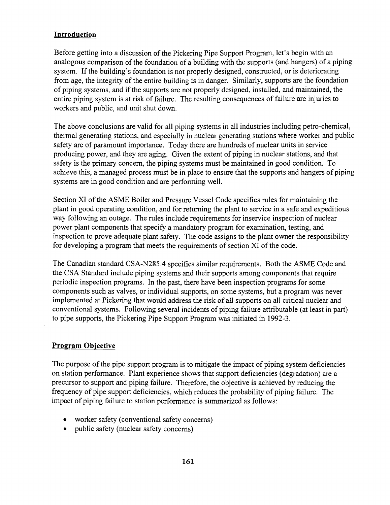#### **Introduction**

Before getting into a discussion of the Pickering Pipe Support Program, let's begin with an analogous comparison of the foundation of a building with the supports (and hangers) of a piping system. If the building's foundation is not properly designed, constructed, or is deteriorating from age, the integrity of the entire building is in danger. Similarly, supports are the foundation of piping systems, and if the supports are not properly designed, installed, and maintained, the entire piping system is at risk of failure. The resulting consequences of failure are injuries to workers and public, and unit shut down.

The above conclusions are valid for all piping systems in all industries including petro-chemical, thermal generating stations, and especially in nuclear generating stations where worker and public safety are of paramount importance. Today there are hundreds of nuclear units in service producing power, and they are aging. Given the extent of piping in nuclear stations, and that safety is the primary concern, the piping systems must be maintained in good condition. To achieve this, a managed process must be in place to ensure that the supports and hangers of piping systems are in good condition and are performing well.

Section XI of the ASME Boiler and Pressure Vessel Code specifies rules for maintaining the plant in good operating condition, and for returning the plant to service in a safe and expeditious way following an outage. The rules include requirements for inservice inspection of nuclear power plant components that specify a mandatory program for examination, testing, and inspection to prove adequate plant safety. The code assigns to the plant owner the responsibility for developing a program that meets the requirements of section XI of the code.

The Canadian standard CSA-N285.4 specifies similar requirements. Both the ASME Code and the CSA Standard include piping systems and their supports among components that require periodic inspection programs. In the past, there have been inspection programs for some components such as valves, or individual supports, on some systems, but a program was never implemented at Pickering that would address the risk of all supports on all critical nuclear and conventional systems. Following several incidents of piping failure attributable (at least in part) to pipe supports, the Pickering Pipe Support Program was initiated in 1992-3.

## **Program Objective**

The purpose of the pipe support program is to mitigate the impact of piping system deficiencies on station performance. Plant experience shows that support deficiencies (degradation) are a precursor to support and piping failure. Therefore, the objective is achieved by reducing the frequency of pipe support deficiencies, which reduces the probability of piping failure. The impact of piping failure to station performance is summarized as follows:

- worker safety (conventional safety concerns)
- public safety (nuclear safety concerns)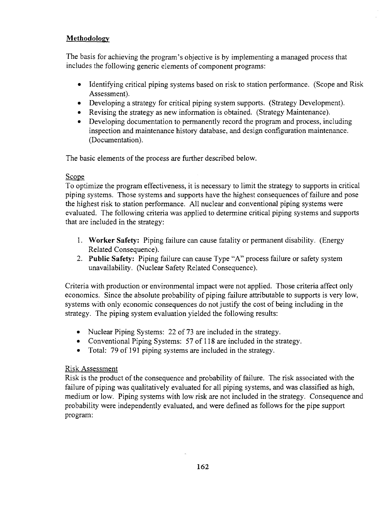## **Methodology**

The basis for achieving the program's objective is by implementing a managed process that includes the following generic elements of component programs:

- Identifying critical piping systems based on risk to station performance. (Scope and Risk Assessment).
- Developing a strategy for critical piping system supports. (Strategy Development).
- Revising the strategy as new information is obtained. (Strategy Maintenance).
- Developing documentation to permanently record the program and process, including inspection and maintenance history database, and design configuration maintenance. (Documentation).

The basic elements of the process are further described below.

## Scope

To optimize the program effectiveness, it is necessary to limit the strategy to supports in critical piping systems. Those systems and supports have the highest consequences of failure and pose the highest risk to station performance. All nuclear and conventional piping systems were evaluated. The following criteria was applied to determine critical piping systems and supports that are included in the strategy:

- 1. **Worker Safety:** Piping failure can cause fatality or permanent disability. (Energy Related Consequence).
- 2. **Public Safety:** Piping failure can cause Type "A" process failure or safety system unavailability. (Nuclear Safety Related Consequence).

Criteria with production or environmental impact were not applied. Those criteria affect only economics. Since the absolute probability of piping failure attributable to supports is very low, systems with only economic consequences do not justify the cost of being including in the strategy. The piping system evaluation yielded the following results:

- Nuclear Piping Systems: 22 of 73 are included in the strategy.
- Conventional Piping Systems: 57 of 118 are included in the strategy.
- Total: 79 of 191 piping systems are included in the strategy.

# Risk Assessment

Risk is the product of the consequence and probability of failure. The risk associated with the failure of piping was qualitatively evaluated for all piping systems, and was classified as high, medium or low. Piping systems with low risk are not included in the strategy. Consequence and probability were independently evaluated, and were defined as follows for the pipe support program: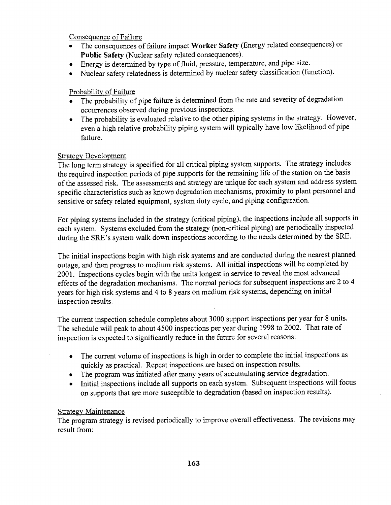Consequence of Failure

- The consequences of failure impact **Worker Safety** (Energy related consequences) or **Public Safety** (Nuclear safety related consequences).
- Energy is determined by type of fluid, pressure, temperature, and pipe size.
- Nuclear safety relatedness is determined by nuclear safety classification (function).

#### Probability of Failure

- The probability of pipe failure is determined from the rate and severity of degradation occurrences observed during previous inspections.
- The probability is evaluated relative to the other piping systems in the strategy. However, even a high relative probability piping system will typically have low likelihood of pipe failure.

#### Strategy Development

The long term strategy is specified for all critical piping system supports. The strategy includes the required inspection periods of pipe supports for the remaining life of the station on the basis of the assessed risk. The assessments and strategy are unique for each system and address system specific characteristics such as known degradation mechanisms, proximity to plant personnel and sensitive or safety related equipment, system duty cycle, and piping configuration.

For piping systems included in the strategy (critical piping), the inspections include all supports in each system. Systems excluded from the strategy (non-critical piping) are periodically inspected during the SRE's system walk down inspections according to the needs determined by the SRE.

The initial inspections begin with high risk systems and are conducted during the nearest planned outage, and then progress to medium risk systems. All initial inspections will be completed by 2001. Inspections cycles begin with the units longest in service to reveal the most advanced effects of the degradation mechanisms. The normal periods for subsequent inspections are 2 to 4 years for high risk systems and 4 to 8 years on medium risk systems, depending on initial inspection results.

The current inspection schedule completes about 3000 support inspections per year for 8 units. The schedule will peak to about 4500 inspections per year during 1998 to 2002. That rate of inspection is expected to significantly reduce in the future for several reasons:

- The current volume of inspections is high in order to complete the initial inspections as quickly as practical. Repeat inspections are based on inspection results.
- The program was initiated after many years of accumulating service degradation.
- Initial inspections include all supports on each system. Subsequent inspections will focus on supports that are more susceptible to degradation (based on inspection results).

#### Strategy Maintenance

The program strategy is revised periodically to improve overall effectiveness. The revisions may result from: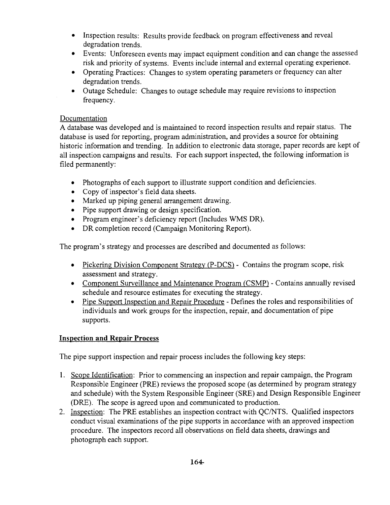- Inspection results: Results provide feedback on program effectiveness and reveal degradation trends.
- Events: Unforeseen events may impact equipment condition and can change the assessed risk and priority of systems. Events include internal and external operating experience.
- Operating Practices: Changes to system operating parameters or frequency can alter degradation trends.
- Outage Schedule: Changes to outage schedule may require revisions to inspection frequency.

## Documentation

A database was developed and is maintained to record inspection results and repair status. The database is used for reporting, program administration, and provides a source for obtaining historic information and trending. In addition to electronic data storage, paper records are kept of all inspection campaigns and results. For each support inspected, the following information is filed permanently:

- Photographs of each support to illustrate support condition and deficiencies.
- Copy of inspector's field data sheets.
- Marked up piping general arrangement drawing.
- Pipe support drawing or design specification.
- Program engineer's deficiency report (Includes WMS DR).
- DR completion record (Campaign Monitoring Report).

The program's strategy and processes are described and documented as follows:

- Pickering Division Component Strategy (P-DCS) Contains the program scope, risk assessment and strategy.
- Component Surveillance and Maintenance Program (CSMP) Contains annually revised schedule and resource estimates for executing the strategy.
- Pipe Support Inspection and Repair Procedure Defines the roles and responsibilities of individuals and work groups for the inspection, repair, and documentation of pipe supports.

## **Inspection and Repair Process**

The pipe support inspection and repair process includes the following key steps:

- 1. Scope Identification: Prior to commencing an inspection and repair campaign, the Program Responsible Engineer (PRE) reviews the proposed scope (as determined by program strategy and schedule) with the System Responsible Engineer (SRE) and Design Responsible Engineer (DRE). The scope is agreed upon and communicated to production.
- 2. Inspection: The PRE establishes an inspection contract with QC/NTS. Qualified inspectors conduct visual examinations of the pipe supports in accordance with an approved inspection procedure. The inspectors record all observations on field data sheets, drawings and photograph each support.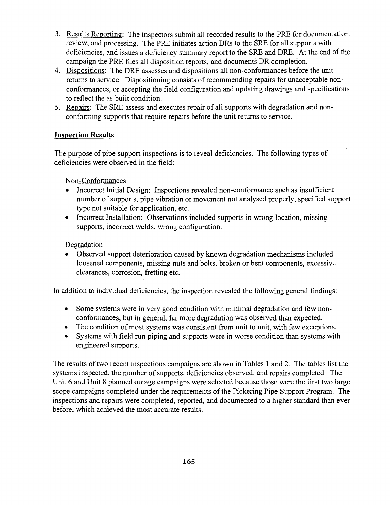- 3. Results Reporting: The inspectors submit all recorded results to the PRE for documentation, review, and processing. The PRE initiates action DRs to the SRE for all supports with deficiencies, and issues a deficiency summary report to the SRE and DRE. At the end of the campaign the PRE files all disposition reports, and documents DR completion.
- 4. Dispositions: The DRE assesses and dispositions all non-conformances before the unit returns to service. Dispositioning consists of recommending repairs for unacceptable nonconformances, or accepting the field configuration and updating drawings and specifications to reflect the as built condition.
- 5. Repairs: The SRE assess and executes repair of all supports with degradation and nonconforming supports that require repairs before the unit returns to service.

## **Inspection Results**

The purpose of pipe support inspections is to reveal deficiencies. The following types of deficiencies were observed in the field:

## Non-Conformances

- Incorrect Initial Design: Inspections revealed non-conformance such as insufficient number of supports, pipe vibration or movement not analysed properly, specified support type not suitable for application, etc.
- Incorrect Installation: Observations included supports in wrong location, missing supports, incorrect welds, wrong configuration.

#### Degradation

• Observed support deterioration caused by known degradation mechanisms included loosened components, missing nuts and bolts, broken or bent components, excessive clearances, corrosion, fretting etc.

In addition to individual deficiencies, the inspection revealed the following general findings:

- Some systems were in very good condition with minimal degradation and few nonconformances, but in general, far more degradation was observed than expected.
- The condition of most systems was consistent from unit to unit, with few exceptions.
- Systems with field run piping and supports were in worse condition than systems with engineered supports.

The results of two recent inspections campaigns are shown in Tables 1 and 2. The tables list the systems inspected, the number of supports, deficiencies observed, and repairs completed. The Unit 6 and Unit 8 planned outage campaigns were selected because those were the first two large scope campaigns completed under the requirements of the Pickering Pipe Support Program. The inspections and repairs were completed, reported, and documented to a higher standard than ever before, which achieved the most accurate results.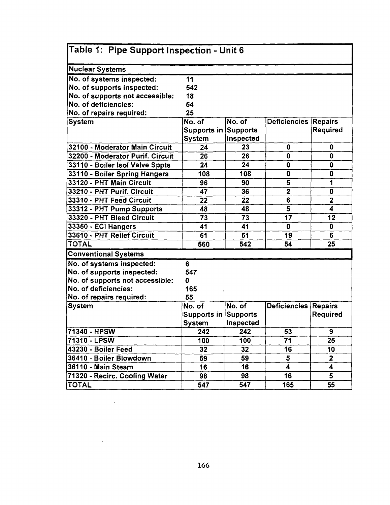| Table 1: Pipe Support Inspection - Unit 6 |                             |                 |                      |                         |  |  |  |
|-------------------------------------------|-----------------------------|-----------------|----------------------|-------------------------|--|--|--|
|                                           |                             |                 |                      |                         |  |  |  |
| Nuclear Systems                           |                             |                 |                      |                         |  |  |  |
| No. of systems inspected:                 | 11                          |                 |                      |                         |  |  |  |
| No. of supports inspected:                | 542                         |                 |                      |                         |  |  |  |
| No. of supports not accessible:           | 18                          |                 |                      |                         |  |  |  |
| No. of deficiencies:                      | 54                          |                 |                      |                         |  |  |  |
| No. of repairs required:                  | 25                          |                 |                      |                         |  |  |  |
| <b>System</b>                             | No. of                      | No. of          | Deficiencies Repairs |                         |  |  |  |
|                                           | <b>Supports in Supports</b> |                 |                      | Required                |  |  |  |
|                                           | System                      | Inspected       |                      |                         |  |  |  |
| 32100 - Moderator Main Circuit            | 24                          | 23              | 0                    | 0                       |  |  |  |
| 32200 - Moderator Purif. Circuit          | 26                          | 26              | 0                    | 0                       |  |  |  |
| 33110 - Boiler Isol Valve Sppts           | 24                          | 24              | 0                    | 0                       |  |  |  |
| 33110 - Boiler Spring Hangers             | 108                         | 108             | 0                    | 0                       |  |  |  |
| 33120 - PHT Main Circuit                  | 96                          | 90              | 5                    | 1                       |  |  |  |
| 33210 - PHT Purif. Circuit                | 47                          | 36              | 2                    | 0                       |  |  |  |
| 33310 - PHT Feed Circuit                  | 22                          | 22              | $\overline{6}$       | $\overline{\mathbf{2}}$ |  |  |  |
| 33312 - PHT Pump Supports                 | 48                          | 48              | 5                    | 4                       |  |  |  |
| 33320 - PHT Bleed Circuit                 | 73                          | 73              | 17                   | 12                      |  |  |  |
| 33350 - ECI Hangers                       | 41                          | 41              | 0                    | 0                       |  |  |  |
| 33610 - PHT Relief Circuit                | 51                          | 51              | 19                   | 6                       |  |  |  |
| <b>TOTAL</b>                              | 560                         | 542             | 54                   | 25                      |  |  |  |
| <b>Conventional Systems</b>               |                             |                 |                      |                         |  |  |  |
| No. of systems inspected:                 | 6                           |                 |                      |                         |  |  |  |
| No. of supports inspected:                | 547                         |                 |                      |                         |  |  |  |
| No. of supports not accessible:           | o                           |                 |                      |                         |  |  |  |
| No. of deficiencies:                      | 165                         |                 |                      |                         |  |  |  |
| No. of repairs required:                  | 55                          |                 |                      |                         |  |  |  |
| System                                    | No. of                      | No. of          | Deficiencies Repairs |                         |  |  |  |
|                                           | Supports in Supports        |                 |                      | Required                |  |  |  |
|                                           | <b>System</b>               | Inspected       |                      |                         |  |  |  |
| 71340 - HPSW                              | 242                         | 242             | 53                   | 9                       |  |  |  |
| 71310 - LPSW                              | 100                         | 100             | 71                   | 25                      |  |  |  |
| 43230 - Boiler Feed                       | 32                          | 32 <sub>2</sub> | 16                   | 10                      |  |  |  |
| 36410 - Boiler Blowdown                   | 59                          | 59              | 5                    | $\overline{2}$          |  |  |  |
| 36110 - Main Steam                        | 16                          | 16              | 4                    | 4                       |  |  |  |
| 71320 - Recirc. Cooling Water             | 98                          | 98              | 16                   | 5                       |  |  |  |
| <b>TOTAL</b>                              | 547                         | 547             | 165                  | 55                      |  |  |  |

 $\mathcal{L}_{\text{max}}$  and  $\mathcal{L}_{\text{max}}$ 

 $\label{eq:2.1} \mathcal{L}(\mathcal{L}^{\text{max}}_{\mathcal{L}}(\mathcal{L}^{\text{max}}_{\mathcal{L}})) \leq \mathcal{L}(\mathcal{L}^{\text{max}}_{\mathcal{L}}(\mathcal{L}^{\text{max}}_{\mathcal{L}}))$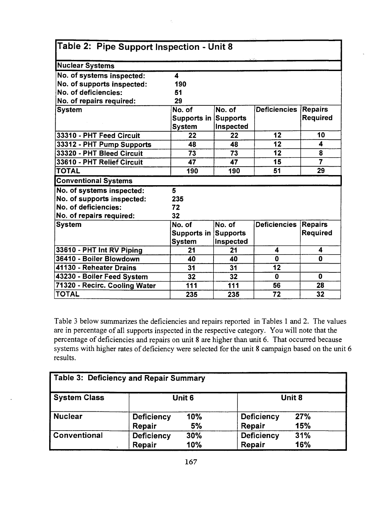| Table 2: Pipe Support Inspection - Unit 8 |                             |                 |                     |                |  |  |  |  |
|-------------------------------------------|-----------------------------|-----------------|---------------------|----------------|--|--|--|--|
| <b>Nuclear Systems</b>                    |                             |                 |                     |                |  |  |  |  |
| No. of systems inspected:                 | 4                           |                 |                     |                |  |  |  |  |
| No. of supports inspected:                | 190                         |                 |                     |                |  |  |  |  |
| No. of deficiencies:                      | 51                          |                 |                     |                |  |  |  |  |
| No. of repairs required:                  | 29                          |                 |                     |                |  |  |  |  |
| <b>System</b>                             | No. of                      | No. of          | <b>Deficiencies</b> | <b>Repairs</b> |  |  |  |  |
|                                           | <b>Supports in Supports</b> |                 |                     | Required       |  |  |  |  |
|                                           | <b>System</b>               | Inspected       |                     |                |  |  |  |  |
| 33310 - PHT Feed Circuit                  | 22                          | 22              | 12                  | 10             |  |  |  |  |
| 33312 - PHT Pump Supports                 | 48                          | 48              | 12                  | 4              |  |  |  |  |
| 33320 - PHT Bleed Circuit                 | $\overline{73}$             | 73              | 12                  | 8              |  |  |  |  |
| 33610 - PHT Relief Circuit                | 47                          | 47              | 15                  | $\overline{7}$ |  |  |  |  |
| <b>TOTAL</b>                              | 190                         | 190             | 51                  | 29             |  |  |  |  |
| <b>Conventional Systems</b>               |                             |                 |                     |                |  |  |  |  |
| No. of systems inspected:                 | 5                           |                 |                     |                |  |  |  |  |
| No. of supports inspected:                | 235                         |                 |                     |                |  |  |  |  |
| No. of deficiencies:                      | 72                          |                 |                     |                |  |  |  |  |
| No. of repairs required:                  | 32                          |                 |                     |                |  |  |  |  |
| <b>System</b>                             | No. of                      | No. of          | <b>Deficiencies</b> | <b>Repairs</b> |  |  |  |  |
|                                           | Supports in                 | <b>Supports</b> |                     | Required       |  |  |  |  |
|                                           | <b>System</b>               | Inspected       |                     |                |  |  |  |  |
| 33610 - PHT Int RV Piping                 | 21                          | 21              | 4                   | 4              |  |  |  |  |
| 36410 - Boiler Blowdown                   | 40                          | 40              | 0                   | $\mathbf{0}$   |  |  |  |  |
| 41130 - Reheater Drains                   | 31                          | 31              | $\overline{12}$     |                |  |  |  |  |
| 43230 - Boiler Feed System                | 32                          | 32              | 0                   | 0              |  |  |  |  |
| 71320 - Recirc. Cooling Water             | 111                         | 111             | 56                  | 28             |  |  |  |  |
| <b>TOTAL</b>                              | 235                         | 235             | 72                  | 32             |  |  |  |  |

Table 3 below summarizes the deficiencies and repairs reported in Tables 1 and 2. The values are in percentage of all supports inspected in the respective category. You will note that the percentage of deficiencies and repairs on unit 8 are higher than unit 6. That occurred because systems with higher rates of deficiency were selected for the unit 8 campaign based on the unit 6 results.

| <b>Table 3: Deficiency and Repair Summary</b> |                   |     |                   |        |  |  |  |  |
|-----------------------------------------------|-------------------|-----|-------------------|--------|--|--|--|--|
| <b>System Class</b>                           | Unit 6            |     |                   | Unit 8 |  |  |  |  |
| <b>Nuclear</b>                                | <b>Deficiency</b> | 10% | <b>Deficiency</b> | 27%    |  |  |  |  |
|                                               | Repair            | 5%  | Repair            | 15%    |  |  |  |  |
| Conventional                                  | <b>Deficiency</b> | 30% | <b>Deficiency</b> | 31%    |  |  |  |  |
|                                               | Repair            | 10% | Repair            | 16%    |  |  |  |  |